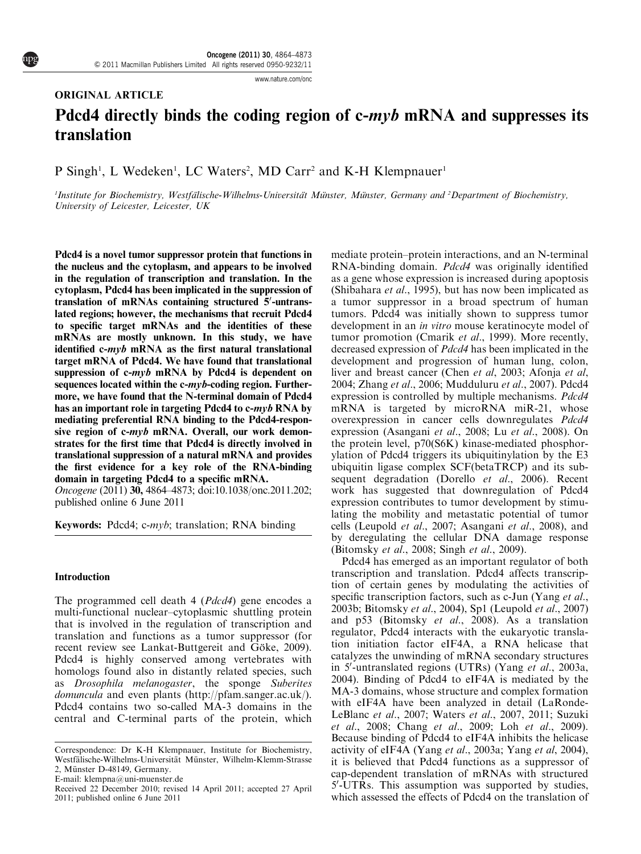www.nature.com/onc

# ORIGINAL ARTICLE

# Pdcd4 directly binds the coding region of c-myb mRNA and suppresses its translation

# P Singh<sup>1</sup>, L Wedeken<sup>1</sup>, LC Waters<sup>2</sup>, MD Carr<sup>2</sup> and K-H Klempnauer<sup>1</sup>

<sup>1</sup>Institute for Biochemistry, Westfälische-Wilhelms-Universität Münster, Münster, Germany and <sup>2</sup>Department of Biochemistry, University of Leicester, Leicester, UK

Pdcd4 is a novel tumor suppressor protein that functions in the nucleus and the cytoplasm, and appears to be involved in the regulation of transcription and translation. In the cytoplasm, Pdcd4 has been implicated in the suppression of translation of mRNAs containing structured 5'-untranslated regions; however, the mechanisms that recruit Pdcd4 to specific target mRNAs and the identities of these mRNAs are mostly unknown. In this study, we have identified  $c\text{-}myb$  mRNA as the first natural translational target mRNA of Pdcd4. We have found that translational suppression of  $c\text{-}myb$  mRNA by Pdcd4 is dependent on sequences located within the c-myb-coding region. Furthermore, we have found that the N-terminal domain of Pdcd4 has an important role in targeting Pdcd4 to c-myb RNA by mediating preferential RNA binding to the Pdcd4-responsive region of c-myb mRNA. Overall, our work demonstrates for the first time that Pdcd4 is directly involved in translational suppression of a natural mRNA and provides the first evidence for a key role of the RNA-binding domain in targeting Pdcd4 to a specific mRNA.

Oncogene (2011) 30, 4864–4873; doi:10.1038/onc.2011.202; published online 6 June 2011

Keywords: Pdcd4; c-myb; translation; RNA binding

# Introduction

The programmed cell death 4 (*Pdcd4*) gene encodes a multi-functional nuclear–cytoplasmic shuttling protein that is involved in the regulation of transcription and translation and functions as a tumor suppressor (for recent review see Lankat-Buttgereit and Göke, 2009). Pdcd4 is highly conserved among vertebrates with homologs found also in distantly related species, such as Drosophila melanogaster, the sponge Suberites domuncula and even plants (http://pfam.sanger.ac.uk/). Pdcd4 contains two so-called MA-3 domains in the central and C-terminal parts of the protein, which mediate protein–protein interactions, and an N-terminal RNA-binding domain. Pdcd4 was originally identified as a gene whose expression is increased during apoptosis (Shibahara et al., 1995), but has now been implicated as a tumor suppressor in a broad spectrum of human tumors. Pdcd4 was initially shown to suppress tumor development in an in vitro mouse keratinocyte model of tumor promotion (Cmarik et al., 1999). More recently, decreased expression of Pdcd4 has been implicated in the development and progression of human lung, colon, liver and breast cancer (Chen et al, 2003; Afonja et al, 2004; Zhang et al., 2006; Mudduluru et al., 2007). Pdcd4 expression is controlled by multiple mechanisms. Pdcd4 mRNA is targeted by microRNA miR-21, whose overexpression in cancer cells downregulates Pdcd4 expression (Asangani et al., 2008; Lu et al., 2008). On the protein level, p70(S6K) kinase-mediated phosphorylation of Pdcd4 triggers its ubiquitinylation by the E3 ubiquitin ligase complex SCF(betaTRCP) and its subsequent degradation (Dorello et al., 2006). Recent work has suggested that downregulation of Pdcd4 expression contributes to tumor development by stimulating the mobility and metastatic potential of tumor cells (Leupold et al., 2007; Asangani et al., 2008), and by deregulating the cellular DNA damage response (Bitomsky et al., 2008; Singh et al., 2009).

Pdcd4 has emerged as an important regulator of both transcription and translation. Pdcd4 affects transcription of certain genes by modulating the activities of specific transcription factors, such as c-Jun (Yang *et al.*, 2003b; Bitomsky et al., 2004), Sp1 (Leupold et al., 2007) and p53 (Bitomsky et al., 2008). As a translation regulator, Pdcd4 interacts with the eukaryotic translation initiation factor eIF4A, a RNA helicase that catalyzes the unwinding of mRNA secondary structures in 5'-untranslated regions (UTRs) (Yang et al., 2003a, 2004). Binding of Pdcd4 to eIF4A is mediated by the MA-3 domains, whose structure and complex formation with eIF4A have been analyzed in detail (LaRonde-LeBlanc et al., 2007; Waters et al., 2007, 2011; Suzuki et al., 2008; Chang et al., 2009; Loh et al., 2009). Because binding of Pdcd4 to eIF4A inhibits the helicase activity of eIF4A (Yang et al., 2003a; Yang et al, 2004), it is believed that Pdcd4 functions as a suppressor of cap-dependent translation of mRNAs with structured 5'-UTRs. This assumption was supported by studies, which assessed the effects of Pdcd4 on the translation of

Correspondence: Dr K-H Klempnauer, Institute for Biochemistry, Westfälische-Wilhelms-Universität Münster, Wilhelm-Klemm-Strasse 2, Münster D-48149, Germany.

E-mail: klempna@uni-muenster.de

Received 22 December 2010; revised 14 April 2011; accepted 27 April 2011; published online 6 June 2011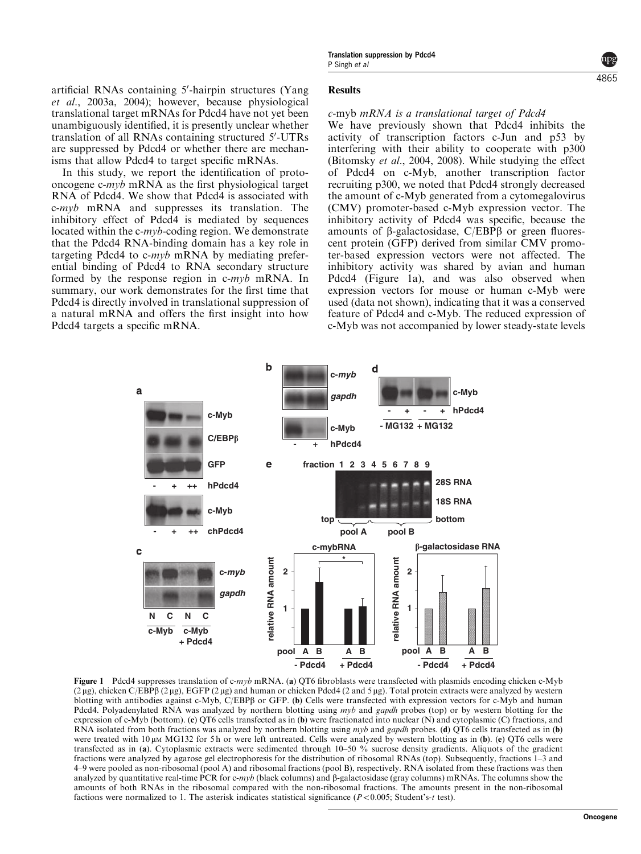artificial RNAs containing 5'-hairpin structures (Yang et al., 2003a, 2004); however, because physiological translational target mRNAs for Pdcd4 have not yet been unambiguously identified, it is presently unclear whether translation of all RNAs containing structured 5'-UTRs are suppressed by Pdcd4 or whether there are mechanisms that allow Pdcd4 to target specific mRNAs.

In this study, we report the identification of protooncogene c-myb mRNA as the first physiological target RNA of Pdcd4. We show that Pdcd4 is associated with c-myb mRNA and suppresses its translation. The inhibitory effect of Pdcd4 is mediated by sequences located within the c-myb-coding region. We demonstrate that the Pdcd4 RNA-binding domain has a key role in targeting Pdcd4 to c-myb mRNA by mediating preferential binding of Pdcd4 to RNA secondary structure formed by the response region in c-myb mRNA. In summary, our work demonstrates for the first time that Pdcd4 is directly involved in translational suppression of a natural mRNA and offers the first insight into how Pdcd4 targets a specific mRNA.

#### Results

# c-myb mRNA is a translational target of Pdcd4

We have previously shown that Pdcd4 inhibits the activity of transcription factors c-Jun and p53 by interfering with their ability to cooperate with p300 (Bitomsky et al., 2004, 2008). While studying the effect of Pdcd4 on c-Myb, another transcription factor recruiting p300, we noted that Pdcd4 strongly decreased the amount of c-Myb generated from a cytomegalovirus (CMV) promoter-based c-Myb expression vector. The inhibitory activity of Pdcd4 was specific, because the amounts of  $\beta$ -galactosidase, C/EBP $\beta$  or green fluorescent protein (GFP) derived from similar CMV promoter-based expression vectors were not affected. The inhibitory activity was shared by avian and human Pdcd4 (Figure 1a), and was also observed when expression vectors for mouse or human c-Myb were used (data not shown), indicating that it was a conserved feature of Pdcd4 and c-Myb. The reduced expression of c-Myb was not accompanied by lower steady-state levels



Figure 1 Pdcd4 suppresses translation of c-myb mRNA. (a) QT6 fibroblasts were transfected with plasmids encoding chicken c-Myb (2 µg), chicken C/EBP $\beta$  (2 µg), EGFP (2 µg) and human or chicken Pdcd4 (2 and 5 µg). Total protein extracts were analyzed by western blotting with antibodies against c-Myb, C/EBPB or GFP. (b) Cells were transfected with expression vectors for c-Myb and human Pdcd4. Polyadenylated RNA was analyzed by northern blotting using myb and gapdh probes (top) or by western blotting for the expression of c-Myb (bottom). (c) QT6 cells transfected as in (b) were fractionated into nuclear (N) and cytoplasmic (C) fractions, and RNA isolated from both fractions was analyzed by northern blotting using  $m\nu b$  and gapdh probes. (d) QT6 cells transfected as in (b) were treated with  $10 \mu$ M MG132 for 5 h or were left untreated. Cells were analyzed by western blotting as in (b). (e) QT6 cells were transfected as in (a). Cytoplasmic extracts were sedimented through 10–50 % sucrose density gradients. Aliquots of the gradient fractions were analyzed by agarose gel electrophoresis for the distribution of ribosomal RNAs (top). Subsequently, fractions 1–3 and 4–9 were pooled as non-ribosomal (pool A) and ribosomal fractions (pool B), respectively. RNA isolated from these fractions was then analyzed by quantitative real-time PCR for c-myb (black columns) and  $\beta$ -galactosidase (gray columns) mRNAs. The columns show the amounts of both RNAs in the ribosomal compared with the non-ribosomal fractions. The amounts present in the non-ribosomal factions were normalized to 1. The asterisk indicates statistical significance ( $P < 0.005$ ; Student's-t test).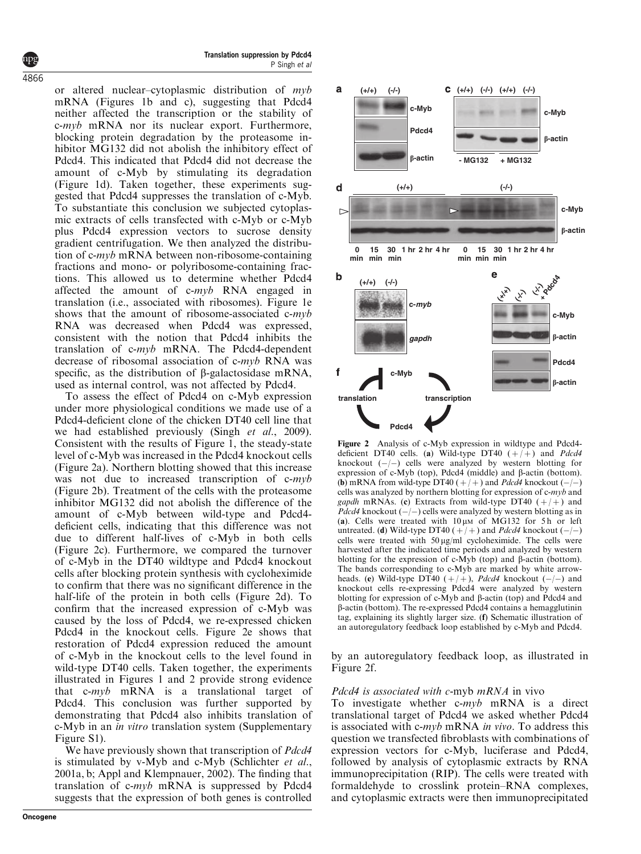or altered nuclear–cytoplasmic distribution of  $m\nu b$ mRNA (Figures 1b and c), suggesting that Pdcd4 neither affected the transcription or the stability of c-myb mRNA nor its nuclear export. Furthermore, blocking protein degradation by the proteasome inhibitor MG132 did not abolish the inhibitory effect of Pdcd4. This indicated that Pdcd4 did not decrease the amount of c-Myb by stimulating its degradation (Figure 1d). Taken together, these experiments suggested that Pdcd4 suppresses the translation of c-Myb. To substantiate this conclusion we subjected cytoplasmic extracts of cells transfected with c-Myb or c-Myb plus Pdcd4 expression vectors to sucrose density gradient centrifugation. We then analyzed the distribution of c-myb mRNA between non-ribosome-containing fractions and mono- or polyribosome-containing fractions. This allowed us to determine whether Pdcd4 affected the amount of c-myb RNA engaged in translation (i.e., associated with ribosomes). Figure 1e shows that the amount of ribosome-associated c-myb RNA was decreased when Pdcd4 was expressed, consistent with the notion that Pdcd4 inhibits the translation of c-myb mRNA. The Pdcd4-dependent decrease of ribosomal association of c-myb RNA was specific, as the distribution of  $\beta$ -galactosidase mRNA, used as internal control, was not affected by Pdcd4.

To assess the effect of Pdcd4 on c-Myb expression under more physiological conditions we made use of a Pdcd4-deficient clone of the chicken DT40 cell line that we had established previously (Singh et al., 2009). Consistent with the results of Figure 1, the steady-state level of c-Myb was increased in the Pdcd4 knockout cells (Figure 2a). Northern blotting showed that this increase was not due to increased transcription of c-myb (Figure 2b). Treatment of the cells with the proteasome inhibitor MG132 did not abolish the difference of the amount of c-Myb between wild-type and Pdcd4 deficient cells, indicating that this difference was not due to different half-lives of c-Myb in both cells (Figure 2c). Furthermore, we compared the turnover of c-Myb in the DT40 wildtype and Pdcd4 knockout cells after blocking protein synthesis with cycloheximide to confirm that there was no significant difference in the half-life of the protein in both cells (Figure 2d). To confirm that the increased expression of c-Myb was caused by the loss of Pdcd4, we re-expressed chicken Pdcd4 in the knockout cells. Figure 2e shows that restoration of Pdcd4 expression reduced the amount of c-Myb in the knockout cells to the level found in wild-type DT40 cells. Taken together, the experiments illustrated in Figures 1 and 2 provide strong evidence that c-myb mRNA is a translational target of Pdcd4. This conclusion was further supported by demonstrating that Pdcd4 also inhibits translation of c-Myb in an in vitro translation system (Supplementary Figure S1).

We have previously shown that transcription of *Pdcd4* is stimulated by v-Myb and c-Myb (Schlichter et al., 2001a, b; Appl and Klempnauer, 2002). The finding that translation of c-myb mRNA is suppressed by Pdcd4 suggests that the expression of both genes is controlled



Figure 2 Analysis of c-Myb expression in wildtype and Pdcd4 deficient DT40 cells. (a) Wild-type DT40  $(+/-)$  and Pdcd4 knockout  $(-/-)$  cells were analyzed by western blotting for expression of c-Myb (top), Pdcd4 (middle) and  $\beta$ -actin (bottom). (b) mRNA from wild-type DT40  $(+/+)$  and *Pdcd4* knockout  $(-/-)$ cells was analyzed by northern blotting for expression of c-myb and gapdh mRNAs. (c) Extracts from wild-type DT40  $(+/+)$  and *Pdcd4* knockout  $(-/-)$  cells were analyzed by western blotting as in (a). Cells were treated with  $10 \mu M$  of MG132 for 5h or left untreated. (d) Wild-type DT40  $(+/+)$  and *Pdcd4* knockout  $(-/-)$ cells were treated with  $50 \mu g/ml$  cycloheximide. The cells were harvested after the indicated time periods and analyzed by western blotting for the expression of  $c$ -Myb (top) and  $\beta$ -actin (bottom). The bands corresponding to c-Myb are marked by white arrowheads. (e) Wild-type DT40  $(+/+)$ , *Pdcd4* knockout  $(-/-)$  and knockout cells re-expressing Pdcd4 were analyzed by western blotting for expression of c-Myb and  $\beta$ -actin (top) and Pdcd4 and b-actin (bottom). The re-expressed Pdcd4 contains a hemagglutinin tag, explaining its slightly larger size. (f) Schematic illustration of an autoregulatory feedback loop established by c-Myb and Pdcd4.

by an autoregulatory feedback loop, as illustrated in Figure 2f.

# Pdcd4 is associated with c-myb mRNA in vivo

To investigate whether  $c\text{-}myb$  mRNA is a direct translational target of Pdcd4 we asked whether Pdcd4 is associated with c-myb mRNA in vivo. To address this question we transfected fibroblasts with combinations of expression vectors for c-Myb, luciferase and Pdcd4, followed by analysis of cytoplasmic extracts by RNA immunoprecipitation (RIP). The cells were treated with formaldehyde to crosslink protein–RNA complexes, and cytoplasmic extracts were then immunoprecipitated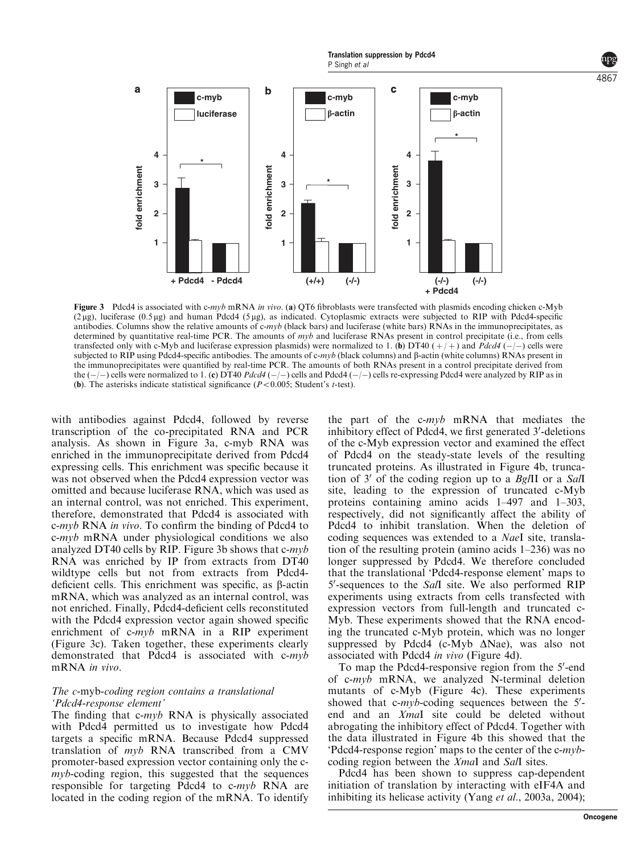

Figure 3 Pdcd4 is associated with c-myb mRNA in vivo. (a) QT6 fibroblasts were transfected with plasmids encoding chicken c-Myb  $(2 \mu g)$ , luciferase  $(0.5 \mu g)$  and human Pdcd4 ( $5 \mu g$ ), as indicated. Cytoplasmic extracts were subjected to RIP with Pdcd4-specific antibodies. Columns show the relative amounts of  $c\text{-}m\gamma b$  (black bars) and luciferase (white bars) RNAs in the immunoprecipitates, as determined by quantitative real-time PCR. The amounts of  $m\nu b$  and luciferase RNAs present in control precipitate (i.e., from cells transfected only with c-Myb and luciferase expression plasmids) were normalized to 1. (b) DT40 ( $+$  $+$ ) and *Pdcd4* ( $-$ ) cells were subjected to RIP using Pdcd4-specific antibodies. The amounts of c-myb (black columns) and  $\beta$ -actin (white columns) RNAs present in the immunoprecipitates were quantified by real-time PCR. The amounts of both RNAs present in a control precipitate derived from the  $(-/-)$  cells were normalized to 1. (c) DT40 Pdcd4  $(-/-)$  cells and Pdcd4  $(-/-)$  cells re-expressing Pdcd4 were analyzed by RIP as in (b). The asterisks indicate statistical significance  $(P<0.005$ ; Student's t-test).

with antibodies against Pdcd4, followed by reverse transcription of the co-precipitated RNA and PCR analysis. As shown in Figure 3a, c-myb RNA was enriched in the immunoprecipitate derived from Pdcd4 expressing cells. This enrichment was specific because it was not observed when the Pdcd4 expression vector was omitted and because luciferase RNA, which was used as an internal control, was not enriched. This experiment, therefore, demonstrated that Pdcd4 is associated with c-myb RNA in vivo. To confirm the binding of Pdcd4 to  $c\text{-}myb$  mRNA under physiological conditions we also analyzed DT40 cells by RIP. Figure 3b shows that  $c\text{-}m\gamma b$ RNA was enriched by IP from extracts from DT40 wildtype cells but not from extracts from Pdcd4 deficient cells. This enrichment was specific, as  $\beta$ -actin mRNA, which was analyzed as an internal control, was not enriched. Finally, Pdcd4-deficient cells reconstituted with the Pdcd4 expression vector again showed specific enrichment of c-myb mRNA in a RIP experiment (Figure 3c). Taken together, these experiments clearly demonstrated that Pdcd4 is associated with c-myb mRNA in vivo.

# The c-myb-coding region contains a translational 'Pdcd4-response element'

The finding that  $c\text{-}myb$  RNA is physically associated with Pdcd4 permitted us to investigate how Pdcd4 targets a specific mRNA. Because Pdcd4 suppressed translation of myb RNA transcribed from a CMV promoter-based expression vector containing only the cmyb-coding region, this suggested that the sequences responsible for targeting Pdcd4 to c-myb RNA are located in the coding region of the mRNA. To identify the part of the c-myb mRNA that mediates the inhibitory effect of Pdcd4, we first generated 3'-deletions of the c-Myb expression vector and examined the effect of Pdcd4 on the steady-state levels of the resulting truncated proteins. As illustrated in Figure 4b, truncation of  $3'$  of the coding region up to a BglII or a SalI site, leading to the expression of truncated c-Myb proteins containing amino acids 1–497 and 1–303, respectively, did not significantly affect the ability of Pdcd4 to inhibit translation. When the deletion of coding sequences was extended to a NaeI site, translation of the resulting protein (amino acids 1–236) was no longer suppressed by Pdcd4. We therefore concluded that the translational 'Pdcd4-response element' maps to  $5'$ -sequences to the SalI site. We also performed RIP experiments using extracts from cells transfected with expression vectors from full-length and truncated c-Myb. These experiments showed that the RNA encoding the truncated c-Myb protein, which was no longer suppressed by Pdcd4 (c-Myb  $\Delta$ Nae), was also not associated with Pdcd4 in vivo (Figure 4d).

To map the Pdcd4-responsive region from the 5'-end of c-myb mRNA, we analyzed N-terminal deletion mutants of c-Myb (Figure 4c). These experiments showed that  $c\text{-}myb\text{-}coding$  sequences between the  $5'$ end and an XmaI site could be deleted without abrogating the inhibitory effect of Pdcd4. Together with the data illustrated in Figure 4b this showed that the 'Pdcd4-response region' maps to the center of the c-mybcoding region between the XmaI and SalI sites.

Pdcd4 has been shown to suppress cap-dependent initiation of translation by interacting with eIF4A and inhibiting its helicase activity (Yang et al., 2003a, 2004);

4867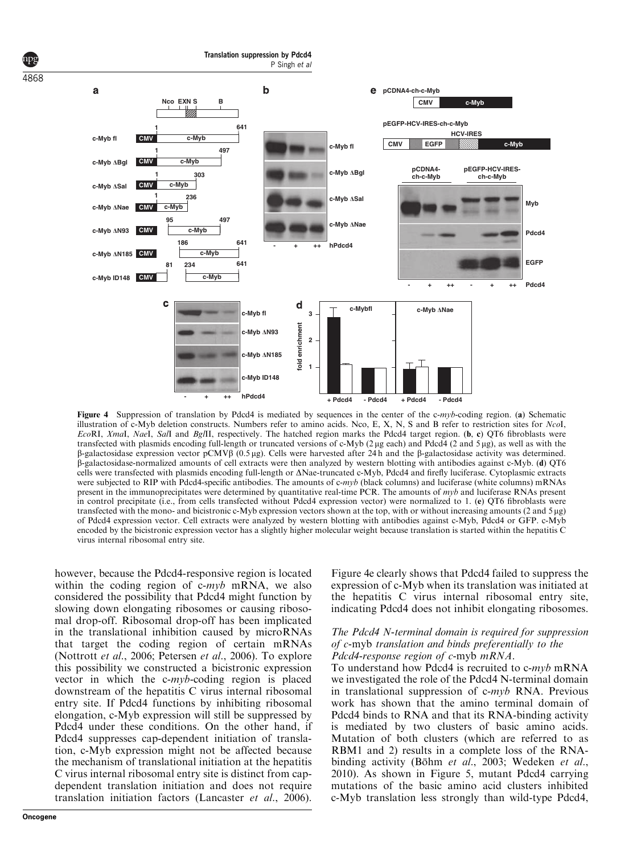

Figure 4 Suppression of translation by Pdcd4 is mediated by sequences in the center of the c-myb-coding region. (a) Schematic illustration of c-Myb deletion constructs. Numbers refer to amino acids. Nco, E, X, N, S and B refer to restriction sites for NcoI, EcoRI, XmaI, NaeI, SalI and BglII, respectively. The hatched region marks the Pdcd4 target region. (b, c) QT6 fibroblasts were transfected with plasmids encoding full-length or truncated versions of c-Myb  $(2 \mu g)$  and Pdcd4  $(2 \text{ and } 5 \mu g)$ , as well as with the  $\beta$ -galactosidase expression vector pCMV $\beta$  (0.5 µg). Cells were harvested after 24 h and the  $\beta$ -galactosidase activity was determined. b-galactosidase-normalized amounts of cell extracts were then analyzed by western blotting with antibodies against c-Myb. (d) QT6 cells were transfected with plasmids encoding full-length or  $\Delta$ Nae-truncated c-Myb, Pdcd4 and firefly luciferase. Cytoplasmic extracts were subjected to RIP with Pdcd4-specific antibodies. The amounts of c-myb (black columns) and luciferase (white columns) mRNAs present in the immunoprecipitates were determined by quantitative real-time PCR. The amounts of  $m\nu b$  and luciferase RNAs present in control precipitate (i.e., from cells transfected without Pdcd4 expression vector) were normalized to 1. (e) QT6 fibroblasts were transfected with the mono- and bicistronic c-Myb expression vectors shown at the top, with or without increasing amounts (2 and 5  $\mu$ g) of Pdcd4 expression vector. Cell extracts were analyzed by western blotting with antibodies against c-Myb, Pdcd4 or GFP. c-Myb encoded by the bicistronic expression vector has a slightly higher molecular weight because translation is started within the hepatitis C virus internal ribosomal entry site.

however, because the Pdcd4-responsive region is located within the coding region of  $c\text{-}myb$  mRNA, we also considered the possibility that Pdcd4 might function by slowing down elongating ribosomes or causing ribosomal drop-off. Ribosomal drop-off has been implicated in the translational inhibition caused by microRNAs that target the coding region of certain mRNAs (Nottrott et al., 2006; Petersen et al., 2006). To explore this possibility we constructed a bicistronic expression vector in which the  $c\text{-}m\nu b\text{-}coding$  region is placed downstream of the hepatitis C virus internal ribosomal entry site. If Pdcd4 functions by inhibiting ribosomal elongation, c-Myb expression will still be suppressed by Pdcd4 under these conditions. On the other hand, if Pdcd4 suppresses cap-dependent initiation of translation, c-Myb expression might not be affected because the mechanism of translational initiation at the hepatitis C virus internal ribosomal entry site is distinct from capdependent translation initiation and does not require translation initiation factors (Lancaster et al., 2006).

4868

Figure 4e clearly shows that Pdcd4 failed to suppress the expression of c-Myb when its translation was initiated at the hepatitis C virus internal ribosomal entry site, indicating Pdcd4 does not inhibit elongating ribosomes.

# The Pdcd4 N-terminal domain is required for suppression of c-myb translation and binds preferentially to the Pdcd4-response region of c-myb mRNA.

To understand how Pdcd4 is recruited to c-myb mRNA we investigated the role of the Pdcd4 N-terminal domain in translational suppression of  $c\text{-}m\nu b$  RNA. Previous work has shown that the amino terminal domain of Pdcd4 binds to RNA and that its RNA-binding activity is mediated by two clusters of basic amino acids. Mutation of both clusters (which are referred to as RBM1 and 2) results in a complete loss of the RNAbinding activity (Böhm et al., 2003; Wedeken et al., 2010). As shown in Figure 5, mutant Pdcd4 carrying mutations of the basic amino acid clusters inhibited c-Myb translation less strongly than wild-type Pdcd4,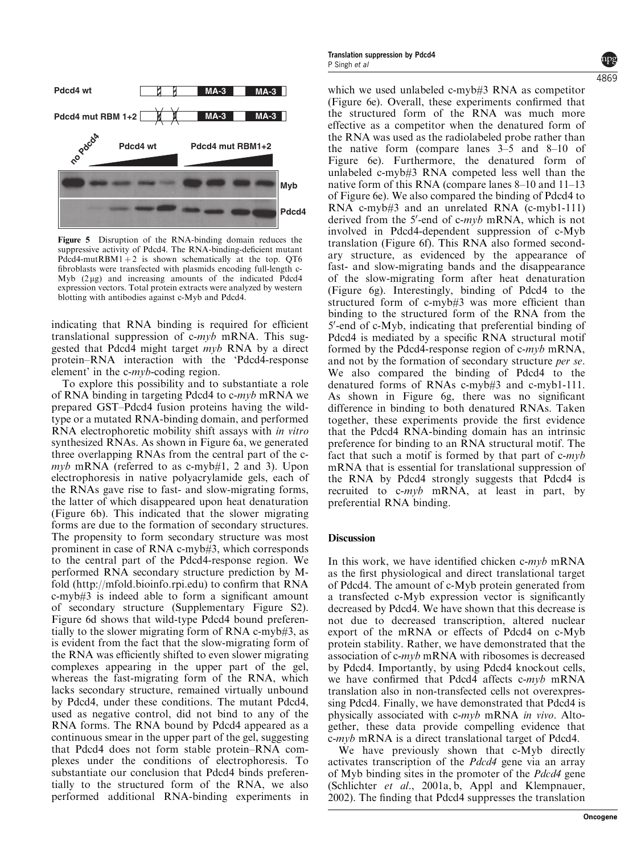

Figure 5 Disruption of the RNA-binding domain reduces the suppressive activity of Pdcd4. The RNA-binding-deficient mutant Pdcd4-mutRBM1 + 2 is shown schematically at the top. QT6 fibroblasts were transfected with plasmids encoding full-length c-Myb  $(2 \mu g)$  and increasing amounts of the indicated Pdcd4 expression vectors. Total protein extracts were analyzed by western blotting with antibodies against c-Myb and Pdcd4.

indicating that RNA binding is required for efficient translational suppression of c-myb mRNA. This suggested that Pdcd4 might target myb RNA by a direct protein–RNA interaction with the 'Pdcd4-response element' in the c-myb-coding region.

To explore this possibility and to substantiate a role of RNA binding in targeting Pdcd4 to  $c\text{-}m\gamma b$  mRNA we prepared GST–Pdcd4 fusion proteins having the wildtype or a mutated RNA-binding domain, and performed RNA electrophoretic mobility shift assays with in vitro synthesized RNAs. As shown in Figure 6a, we generated three overlapping RNAs from the central part of the c $m\nu b$  mRNA (referred to as c-myb#1, 2 and 3). Upon electrophoresis in native polyacrylamide gels, each of the RNAs gave rise to fast- and slow-migrating forms, the latter of which disappeared upon heat denaturation (Figure 6b). This indicated that the slower migrating forms are due to the formation of secondary structures. The propensity to form secondary structure was most prominent in case of RNA c-myb#3, which corresponds to the central part of the Pdcd4-response region. We performed RNA secondary structure prediction by Mfold (http://mfold.bioinfo.rpi.edu) to confirm that RNA c-myb#3 is indeed able to form a significant amount of secondary structure (Supplementary Figure S2). Figure 6d shows that wild-type Pdcd4 bound preferentially to the slower migrating form of RNA c-myb#3, as is evident from the fact that the slow-migrating form of the RNA was efficiently shifted to even slower migrating complexes appearing in the upper part of the gel, whereas the fast-migrating form of the RNA, which lacks secondary structure, remained virtually unbound by Pdcd4, under these conditions. The mutant Pdcd4, used as negative control, did not bind to any of the RNA forms. The RNA bound by Pdcd4 appeared as a continuous smear in the upper part of the gel, suggesting that Pdcd4 does not form stable protein–RNA complexes under the conditions of electrophoresis. To substantiate our conclusion that Pdcd4 binds preferentially to the structured form of the RNA, we also performed additional RNA-binding experiments in

which we used unlabeled c-myb#3 RNA as competitor (Figure 6e). Overall, these experiments confirmed that the structured form of the RNA was much more effective as a competitor when the denatured form of the RNA was used as the radiolabeled probe rather than the native form (compare lanes 3–5 and 8–10 of Figure 6e). Furthermore, the denatured form of unlabeled c-myb#3 RNA competed less well than the native form of this RNA (compare lanes 8–10 and 11–13 of Figure 6e). We also compared the binding of Pdcd4 to RNA c-myb#3 and an unrelated RNA (c-myb1-111) derived from the 5'-end of c-myb mRNA, which is not involved in Pdcd4-dependent suppression of c-Myb translation (Figure 6f). This RNA also formed secondary structure, as evidenced by the appearance of fast- and slow-migrating bands and the disappearance of the slow-migrating form after heat denaturation (Figure 6g). Interestingly, binding of Pdcd4 to the structured form of c-myb#3 was more efficient than binding to the structured form of the RNA from the 5'-end of c-Myb, indicating that preferential binding of Pdcd4 is mediated by a specific RNA structural motif formed by the Pdcd4-response region of c-myb mRNA, and not by the formation of secondary structure per se. We also compared the binding of Pdcd4 to the denatured forms of RNAs c-myb#3 and c-myb1-111. As shown in Figure 6g, there was no significant difference in binding to both denatured RNAs. Taken together, these experiments provide the first evidence that the Pdcd4 RNA-binding domain has an intrinsic preference for binding to an RNA structural motif. The fact that such a motif is formed by that part of  $c\text{-}myb$ mRNA that is essential for translational suppression of the RNA by Pdcd4 strongly suggests that Pdcd4 is recruited to c-myb mRNA, at least in part, by preferential RNA binding.

# Discussion

In this work, we have identified chicken c-myb mRNA as the first physiological and direct translational target of Pdcd4. The amount of c-Myb protein generated from a transfected c-Myb expression vector is significantly decreased by Pdcd4. We have shown that this decrease is not due to decreased transcription, altered nuclear export of the mRNA or effects of Pdcd4 on c-Myb protein stability. Rather, we have demonstrated that the association of  $c\text{-}m\nu b$  mRNA with ribosomes is decreased by Pdcd4. Importantly, by using Pdcd4 knockout cells, we have confirmed that Pdcd4 affects c-myb mRNA translation also in non-transfected cells not overexpressing Pdcd4. Finally, we have demonstrated that Pdcd4 is physically associated with c-myb mRNA in vivo. Altogether, these data provide compelling evidence that c-myb mRNA is a direct translational target of Pdcd4.

We have previously shown that c-Myb directly activates transcription of the Pdcd4 gene via an array of Myb binding sites in the promoter of the Pdcd4 gene (Schlichter et al., 2001a, b, Appl and Klempnauer, 2002). The finding that Pdcd4 suppresses the translation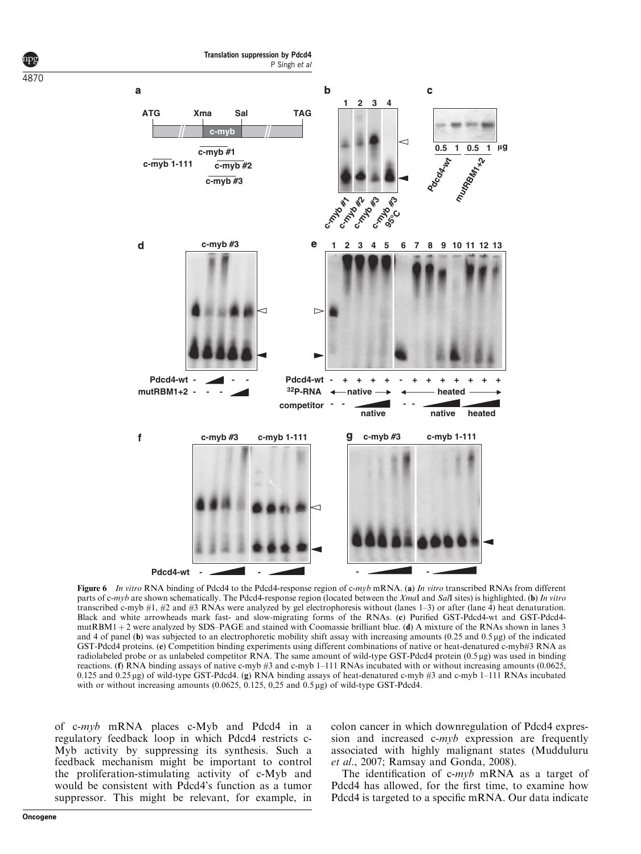

Figure 6 In vitro RNA binding of Pdcd4 to the Pdcd4-response region of c-myb mRNA. (a) In vitro transcribed RNAs from different parts of c-myb are shown schematically. The Pdcd4-response region (located between the XmaI and SaII sites) is highlighted. (b) In vitro transcribed c-myb #1, #2 and #3 RNAs were analyzed by gel electrophoresis without (lanes 1–3) or after (lane 4) heat denaturation. Black and white arrowheads mark fast- and slow-migrating forms of the RNAs. (c) Purified GST-Pdcd4-wt and GST-Pdcd4 mutRBM1 + 2 were analyzed by SDS–PAGE and stained with Coomassie brilliant blue. (d) A mixture of the RNAs shown in lanes 3 and 4 of panel (b) was subjected to an electrophoretic mobility shift assay with increasing amounts  $(0.25 \text{ and } 0.5 \mu g)$  of the indicated GST-Pdcd4 proteins. (e) Competition binding experiments using different combinations of native or heat-denatured c-myb#3 RNA as radiolabeled probe or as unlabeled competitor RNA. The same amount of wild-type GST-Pdcd4 protein (0.5 µg) was used in binding reactions. (f) RNA binding assays of native c-myb #3 and c-myb 1–111 RNAs incubated with or without increasing amounts (0.0625,  $0.125$  and  $0.25 \mu$ g) of wild-type GST-Pdcd4. (g) RNA binding assays of heat-denatured c-myb #3 and c-myb 1–111 RNAs incubated with or without increasing amounts  $(0.0625, 0.125, 0.25, 0.25, 0.05, \mu g)$  of wild-type GST-Pdcd4.

of c-myb mRNA places c-Myb and Pdcd4 in a regulatory feedback loop in which Pdcd4 restricts c-Myb activity by suppressing its synthesis. Such a feedback mechanism might be important to control the proliferation-stimulating activity of c-Myb and would be consistent with Pdcd4's function as a tumor suppressor. This might be relevant, for example, in colon cancer in which downregulation of Pdcd4 expression and increased c-myb expression are frequently associated with highly malignant states (Mudduluru et al., 2007; Ramsay and Gonda, 2008).

The identification of c-myb mRNA as a target of Pdcd4 has allowed, for the first time, to examine how Pdcd4 is targeted to a specific mRNA. Our data indicate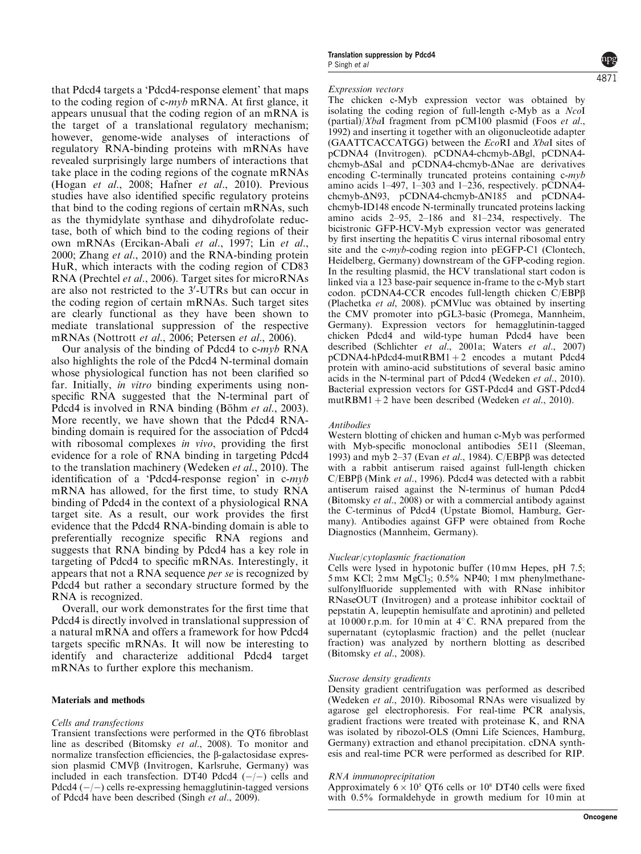that Pdcd4 targets a 'Pdcd4-response element' that maps to the coding region of  $c\text{-}myb$  mRNA. At first glance, it appears unusual that the coding region of an mRNA is the target of a translational regulatory mechanism; however, genome-wide analyses of interactions of regulatory RNA-binding proteins with mRNAs have revealed surprisingly large numbers of interactions that take place in the coding regions of the cognate mRNAs (Hogan et al., 2008; Hafner et al., 2010). Previous studies have also identified specific regulatory proteins that bind to the coding regions of certain mRNAs, such as the thymidylate synthase and dihydrofolate reductase, both of which bind to the coding regions of their own mRNAs (Ercikan-Abali et al., 1997; Lin et al., 2000; Zhang et al., 2010) and the RNA-binding protein HuR, which interacts with the coding region of CD83 RNA (Prechtel et al., 2006). Target sites for microRNAs are also not restricted to the 3'-UTRs but can occur in the coding region of certain mRNAs. Such target sites are clearly functional as they have been shown to mediate translational suppression of the respective mRNAs (Nottrott et al., 2006; Petersen et al., 2006).

Our analysis of the binding of Pdcd4 to c-myb RNA also highlights the role of the Pdcd4 N-terminal domain whose physiological function has not been clarified so far. Initially, in vitro binding experiments using nonspecific RNA suggested that the N-terminal part of Pdcd4 is involved in RNA binding (Böhm et al., 2003). More recently, we have shown that the Pdcd4 RNAbinding domain is required for the association of Pdcd4 with ribosomal complexes *in vivo*, providing the first evidence for a role of RNA binding in targeting Pdcd4 to the translation machinery (Wedeken et al., 2010). The identification of a 'Pdcd4-response region' in c-myb mRNA has allowed, for the first time, to study RNA binding of Pdcd4 in the context of a physiological RNA target site. As a result, our work provides the first evidence that the Pdcd4 RNA-binding domain is able to preferentially recognize specific RNA regions and suggests that RNA binding by Pdcd4 has a key role in targeting of Pdcd4 to specific mRNAs. Interestingly, it appears that not a RNA sequence per se is recognized by Pdcd4 but rather a secondary structure formed by the RNA is recognized.

Overall, our work demonstrates for the first time that Pdcd4 is directly involved in translational suppression of a natural mRNA and offers a framework for how Pdcd4 targets specific mRNAs. It will now be interesting to identify and characterize additional Pdcd4 target mRNAs to further explore this mechanism.

#### Materials and methods

#### Cells and transfections

Transient transfections were performed in the QT6 fibroblast line as described (Bitomsky et al., 2008). To monitor and normalize transfection efficiencies, the  $\beta$ -galactosidase expression plasmid CMV<sub>B</sub> (Invitrogen, Karlsruhe, Germany) was included in each transfection. DT40 Pdcd4  $(-/-)$  cells and Pdcd4  $(-/-)$  cells re-expressing hemagglutinin-tagged versions of Pdcd4 have been described (Singh et al., 2009).

#### Expression vectors

The chicken c-Myb expression vector was obtained by isolating the coding region of full-length c-Myb as a NcoI (partial)/XbaI fragment from pCM100 plasmid (Foos et al., 1992) and inserting it together with an oligonucleotide adapter (GAATTCACCATGG) between the EcoRI and XbaI sites of pCDNA4 (Invitrogen). pCDNA4-chcmyb- $\Delta$ Bgl, pCDNA4chcmyb- $\Delta$ Sal and pCDNA4-chcmyb- $\Delta$ Nae are derivatives encoding C-terminally truncated proteins containing c-myb amino acids 1–497, 1–303 and 1–236, respectively. pCDNA4 chcmyb- $\Delta N93$ , pCDNA4-chcmyb- $\Delta N185$  and pCDNA4chcmyb-ID148 encode N-terminally truncated proteins lacking amino acids 2–95, 2–186 and 81–234, respectively. The bicistronic GFP-HCV-Myb expression vector was generated by first inserting the hepatitis C virus internal ribosomal entry site and the c-myb-coding region into pEGFP-C1 (Clontech, Heidelberg, Germany) downstream of the GFP-coding region. In the resulting plasmid, the HCV translational start codon is linked via a 123 base-pair sequence in-frame to the c-Myb start codon. pCDNA4-CCR encodes full-length chicken C/EBPb (Plachetka et al, 2008). pCMVluc was obtained by inserting the CMV promoter into pGL3-basic (Promega, Mannheim, Germany). Expression vectors for hemagglutinin-tagged chicken Pdcd4 and wild-type human Pdcd4 have been described (Schlichter et al., 2001a; Waters et al., 2007)  $pCDNA4-hPdcd4-mutRBM1+2$  encodes a mutant Pdcd4 protein with amino-acid substitutions of several basic amino acids in the N-terminal part of Pdcd4 (Wedeken et al., 2010). Bacterial expression vectors for GST-Pdcd4 and GST-Pdcd4 mutRBM1 + 2 have been described (Wedeken *et al.*, 2010).

#### **Antihodies**

Western blotting of chicken and human c-Myb was performed with Myb-specific monoclonal antibodies 5E11 (Sleeman, 1993) and myb 2-37 (Evan et al., 1984). C/EBP $\beta$  was detected with a rabbit antiserum raised against full-length chicken C/EBPß (Mink et al., 1996). Pdcd4 was detected with a rabbit antiserum raised against the N-terminus of human Pdcd4 (Bitomsky et al., 2008) or with a commercial antibody against the C-terminus of Pdcd4 (Upstate Biomol, Hamburg, Germany). Antibodies against GFP were obtained from Roche Diagnostics (Mannheim, Germany).

#### Nuclear/cytoplasmic fractionation

Cells were lysed in hypotonic buffer  $(10 \text{ mm}$  Hepes, pH 7.5;  $5 \text{ mm}$  KCl;  $2 \text{ mm}$  MgCl<sub>2</sub>;  $0.5\%$  NP40; 1 mm phenylmethanesulfonylfluoride supplemented with with RNase inhibitor RNaseOUT (Invitrogen) and a protease inhibitor cocktail of pepstatin A, leupeptin hemisulfate and aprotinin) and pelleted at  $10000$  r.p.m. for 10 min at  $4^{\circ}$  C. RNA prepared from the supernatant (cytoplasmic fraction) and the pellet (nuclear fraction) was analyzed by northern blotting as described (Bitomsky et al., 2008).

#### Sucrose density gradients

Density gradient centrifugation was performed as described (Wedeken et al., 2010). Ribosomal RNAs were visualized by agarose gel electrophoresis. For real-time PCR analysis, gradient fractions were treated with proteinase K, and RNA was isolated by ribozol-OLS (Omni Life Sciences, Hamburg, Germany) extraction and ethanol precipitation. cDNA synthesis and real-time PCR were performed as described for RIP.

#### RNA immunoprecipitation

Approximately  $6 \times 10^5$  QT6 cells or 10<sup>8</sup> DT40 cells were fixed with 0.5% formaldehyde in growth medium for 10 min at

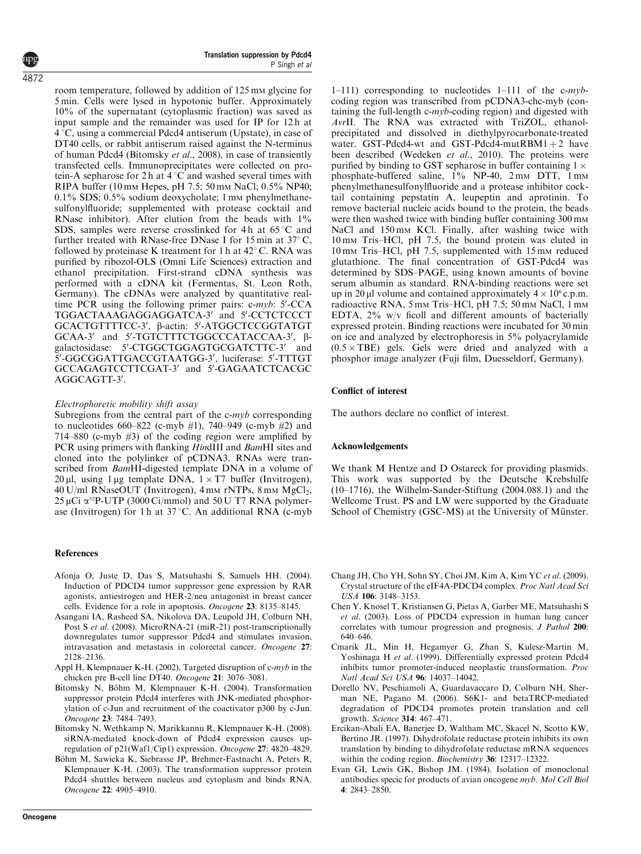room temperature, followed by addition of 125 mm glycine for 5 min. Cells were lysed in hypotonic buffer. Approximately 10% of the supernatant (cytoplasmic fraction) was saved as input sample and the remainder was used for IP for 12h at  $4^{\circ}$ C, using a commercial Pdcd4 antiserum (Upstate), in case of DT40 cells, or rabbit antiserum raised against the N-terminus of human Pdcd4 (Bitomsky et al., 2008), in case of transiently transfected cells. Immunoprecipitates were collected on protein-A sepharose for 2 h at  $4^{\circ}$ C and washed several times with RIPA buffer (10 mm Hepes, pH 7.5; 50 mm NaCl; 0.5% NP40; 0.1% SDS; 0.5% sodium deoxycholate; 1 mm phenylmethanesulfonylfluoride; supplemented with protease cocktail and RNase inhibitor). After elution from the beads with 1% SDS, samples were reverse crosslinked for 4h at  $65^{\circ}$ C and further treated with RNase-free DNase I for 15 min at  $37^{\circ}$ C, followed by proteinase K treatment for 1 h at  $42^{\circ}$  C. RNA was purified by ribozol-OLS (Omni Life Sciences) extraction and ethanol precipitation. First-strand cDNA synthesis was performed with a cDNA kit (Fermentas, St. Leon Roth, Germany). The cDNAs were analyzed by quantitative realtime PCR using the following primer pairs:  $c\text{-}myb$ : 5'-CCA TGGACTAAAGAGGAGGATCA-3' and 5'-CCTCTCCCT GCACTGTTTTCC-3', β-actin: 5'-ATGGCTCCGGTATGT GCAA-3' and 5'-TGTCTTTCTGGCCCATACCAA-3', βgalactosidase: 5'-CTGGCTGGAGTGCGATCTTC-3' and 5'-GGCGGATTGACCGTAATGG-3', luciferase: 5'-TTTGT GCCAGAGTCCTTCGAT-3' and 5'-GAGAATCTCACGC AGGCAGTT-3'.

#### Electrophoretic mobility shift assay

Subregions from the central part of the  $c\text{-}myb$  corresponding to nucleotides  $660 - 822$  (c-myb  $#1$ ), 740–949 (c-myb  $#2$ ) and 714–880 (c-myb #3) of the coding region were amplified by PCR using primers with flanking HindIII and BamHI sites and cloned into the polylinker of pCDNA3. RNAs were transcribed from BamHI-digested template DNA in a volume of 20 µl, using 1 µg template DNA,  $1 \times T7$  buffer (Invitrogen),  $40$  U/ml RNaseOUT (Invitrogen),  $4$  mm rNTPs,  $8$  mm MgCl<sub>2</sub>,  $25 \,\mu$ Ci  $\alpha^{32}$ P-UTP (3000 Ci/mmol) and 50 U T7 RNA polymerase (Invitrogen) for 1 h at  $37^{\circ}$ C. An additional RNA (c-myb)

# References

- Afonja O, Juste D, Das S, Matsuhashi S, Samuels HH. (2004). Induction of PDCD4 tumor suppressor gene expression by RAR agonists, antiestrogen and HER-2/neu antagonist in breast cancer cells. Evidence for a role in apoptosis. Oncogene 23: 8135–8145.
- Asangani IA, Rasheed SA, Nikolova DA, Leupold JH, Colburn NH, Post S et al. (2008). MicroRNA-21 (miR-21) post-transcriptionally downregulates tumor suppressor Pdcd4 and stimulates invasion, intravasation and metastasis in colorectal cancer. Oncogene 27: 2128–2136.
- Appl H, Klempnauer K-H. (2002). Targeted disruption of c-myb in the chicken pre B-cell line DT40. Oncogene 21: 3076–3081.
- Bitomsky N, Böhm M, Klempnauer K-H. (2004). Transformation suppressor protein Pdcd4 interferes with JNK-mediated phosphorylation of c-Jun and recruitment of the coactivator p300 by c-Jun. Oncogene 23: 7484–7493.
- Bitomsky N, Wethkamp N, Marikkannu R, Klempnauer K-H. (2008). siRNA-mediated knock-down of Pdcd4 expression causes upregulation of p21(Waf1/Cip1) expression. Oncogene 27: 4820–4829.
- Böhm M, Sawicka K, Siebrasse JP, Brehmer-Fastnacht A, Peters R, Klempnauer K-H. (2003). The transformation suppressor protein Pdcd4 shuttles between nucleus and cytoplasm and binds RNA. Oncogene 22: 4905–4910.

1–111) corresponding to nucleotides 1–111 of the c-mybcoding region was transcribed from pCDNA3-chc-myb (containing the full-length c-myb-coding region) and digested with AvrII. The RNA was extracted with TriZOL, ethanolprecipitated and dissolved in diethylpyrocarbonate-treated water. GST-Pdcd4-wt and GST-Pdcd4-mutRBM1 + 2 have been described (Wedeken et al., 2010). The proteins were purified by binding to GST sepharose in buffer containing  $1 \times$ phosphate-buffered saline, 1% NP-40, 2 mm DTT, 1 mm phenylmethanesulfonylfluoride and a protease inhibitor cocktail containing pepstatin A, leupeptin and aprotinin. To remove bacterial nucleic acids bound to the protein, the beads were then washed twice with binding buffer containing  $300 \text{ mm}$ NaCl and 150 mm KCl. Finally, after washing twice with 10 m<sup>M</sup> Tris–HCl, pH 7.5, the bound protein was eluted in 10 mm Tris–HCl, pH 7.5, supplemented with 15 mm reduced glutathione. The final concentration of GST-Pdcd4 was determined by SDS–PAGE, using known amounts of bovine serum albumin as standard. RNA-binding reactions were set up in 20 µl volume and contained approximately  $4 \times 10^{6}$  c.p.m. radioactive RNA, 5 mm Tris–HCl, pH 7.5; 50 mm NaCl, 1 mm EDTA, 2% w/v ficoll and different amounts of bacterially expressed protein. Binding reactions were incubated for 30 min on ice and analyzed by electrophoresis in 5% polyacrylamide  $(0.5 \times \text{TBE})$  gels. Gels were dried and analyzed with a phosphor image analyzer (Fuji film, Duesseldorf, Germany).

#### Conflict of interest

The authors declare no conflict of interest.

#### Acknowledgements

We thank M Hentze and D Ostareck for providing plasmids. This work was supported by the Deutsche Krebshilfe (10–1716), the Wilhelm-Sander-Stiftung (2004.088.1) and the Wellcome Trust. PS and LW were supported by the Graduate School of Chemistry (GSC-MS) at the University of Münster.

- Chang JH, Cho YH, Sohn SY, Choi JM, Kim A, Kim YC et al. (2009). Crystal structure of the eIF4A-PDCD4 complex. Proc Natl Acad Sci USA 106: 3148–3153.
- Chen Y, Knosel T, Kristiansen G, Pietas A, Garber ME, Matsuhashi S et al. (2003). Loss of PDCD4 expression in human lung cancer correlates with tumour progression and prognosis. J Pathol 200: 640–646.
- Cmarik JL, Min H, Hegamyer G, Zhan S, Kulesz-Martin M, Yoshinaga H et al. (1999). Differentially expressed protein Pdcd4 inhibits tumor promoter-induced neoplastic transformation. Proc Natl Acad Sci USA 96: 14037–14042.
- Dorello NV, Peschiamoli A, Guardavaccaro D, Colburn NH, Sherman NE, Pagano M. (2006). S6K1- and betaTRCP-mediated degradation of PDCD4 promotes protein translation and cell growth. Science 314: 467–471.
- Ercikan-Abali EA, Banerjee D, Waltham MC, Skacel N, Scotto KW, Bertino JR. (1997). Dihydrofolate reductase protein inhibits its own translation by binding to dihydrofolate reductase mRNA sequences within the coding region. Biochemistry 36: 12317–12322.
- Evan GI, Lewis GK, Bishop JM. (1984). Isolation of monoclonal antibodies specic for products of avian oncogene myb. Mol Cell Biol 4: 2843–2850.